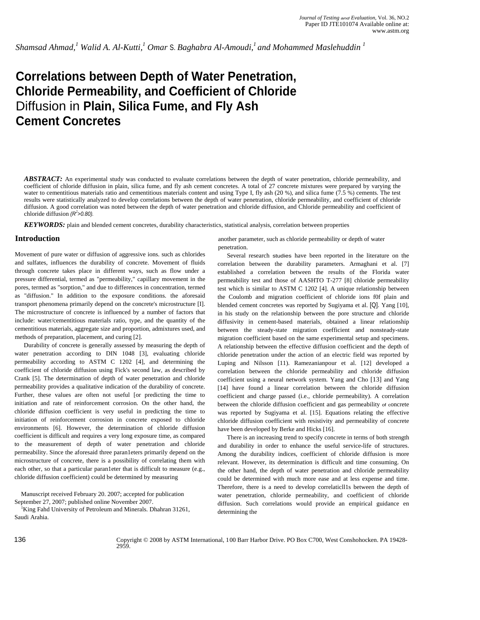*Shamsad Ahmad,<sup>1</sup> Walid A. Al-Kutti,1 Omar* S. *Baghabra Al-Amoudi,1 and Mohammed Maslehuddin 1*

# **Correlations between Depth of Water Penetration, Chloride Permeability, and Coefficient of Chloride**  Diffusion in **Plain, Silica Fume, and Fly Ash Cement Concretes**

*ABSTRACT:* An experimental study was conducted to evaluate correlations between the depth of water penetration, chloride permeability, and coefficient of chloride diffusion in plain, silica fume, and fly ash cement concretes. A total of 27 concrete mixtures were prepared by varying the water to cementitious materials ratio and cementitious materials content and using Type I, fly ash (20 %), and silica fume (7.5 %) cements. The test results were statistically analyzed to develop correlations between the depth of water penetration, chloride permeability, and coefficient of chloride diffusion. A good correlation was noted between the depth of water penetration and chloride diffusion, and Chloride permeability and coefficient of chloride diffusion *(R<sup>2</sup> >0.80).* 

*KEYWORDS:* plain and blended cement concretes, durability characteristics, statistical analysis, correlation between properties

#### **Introduction**

Movement of pure water or diffusion of aggressive ions. such as chlorides and sulfates, influences the durability of concrete. Movement of fluids through concrete takes place in different ways, such as flow under a pressure differential, termed as "permeability," capillary movement in the pores, termed as "sorption," and due to differences in concentration, termed as "diffusion." In addition to the exposure conditions. the aforesaid transport phenomena primarily depend on the concrete's microstructure [I]. The microstructure of concrete is influenced by a number of factors that include: water/cementitious materials ratio, type, and the quantity of the cementitious materials, aggregate size and proportion, admixtures used, and methods of preparation, placement, and curing [2].

Durability of concrete is generally assessed by measuring the depth of water penetration according to DIN 1048 [3], evaluating chloride permeability according to ASTM C 1202 [4], and determining the coefficient of chloride diffusion using Fick's second law, as described by Crank [5]. The determination of depth of water penetration and chloride permeability provides a qualitative indication of the durability of concrete. Further, these values are often not useful [or predicting the time to initiation and rate of reinforcement corrosion. On the other hand, the chloride diffusion coefficient is very useful in predicting the time to initiation of reinforcement corrosion in concrete exposed to chloride environments [6]. However, the determination of chloride diffusion coefficient is difficult and requires a very long exposure time, as compared to the measurement of depth of water penetration and chloride permeability. Since the aforesaid three paran1eters primarily depend on the microstructure of concrete, there is a possibility of correlating them with each other, so that a particular paran1eter that is difficult to measure (e.g., chloride diffusion coefficient) could be determined by measuring

Manuscript received February 20. 2007; accepted for publication September 27, 2007; published online November 2007.

<sup>1</sup>King Fahd University of Petroleum and Minerals. Dhahran 31261, Saudi Arahia.

another parameter, such as chloride permeability or depth of water penetration.

Several research studies have been reported in the literature on the correlation between the durability parameters. Armaghani et al. [7] established a correlation between the results of the Florida water permeability test and those of AASHTO T-277 [8] chloride permeability test which is similar to ASTM C 1202 [4]. A unique relationship between the Coulomb and migration coefficient of chloride ions f0f plain and blended cement concretes was reported by Sugiyama et al. [Q]. Yang [10], in his study on the relationship between the pore structure and chloride diffusivity in cement-based materials, obtained a linear relationship between the steady-state migration coefficient and nonsteady-state migration coefficient based on the same experimental setup and specimens. A relationship between the effective diffusion coefficient and the depth of chloride penetration under the action of an electric field was reported by Luping and Nilsson [11). Ramezanianpour et al. [12] developed a correlation between the chloride permeability and chloride diffusion coefficient using a neural network system. Yang and Cho [13] and Yang [14] have found a linear correlation between the chloride diffusion coefficient and charge passed (i.e., chloride permeability). A correlation between the chloride diffusion coefficient and gas permeability of concrete was reported by Sugiyama et al. [15]. Equations relating the effective chloride diffusion coefficient with resistivity and permeability of concrete have been developed by Berke and Hicks [16].

There is an increasing trend to specify concrete in terms of both strength and durability in order to enhance the useful service-life of structures. Among the durability indices, coefficient of chloride diffusion is more relevant. However, its determination is difficult and time consuming. On the other hand, the depth of water penetration and chloride permeability could be determined with much more ease and at less expense and time. Therefore, there is a need to develop correlaticll1s between the depth of water penetration, chloride permeability, and coefficient of chloride diffusion. Such correlations would provide an empirical guidance en determining the

136 Copyright © 2008 by ASTM International, 100 Barr Harbor Drive. PO Box C700, West Conshohocken. PA 19428- 2959.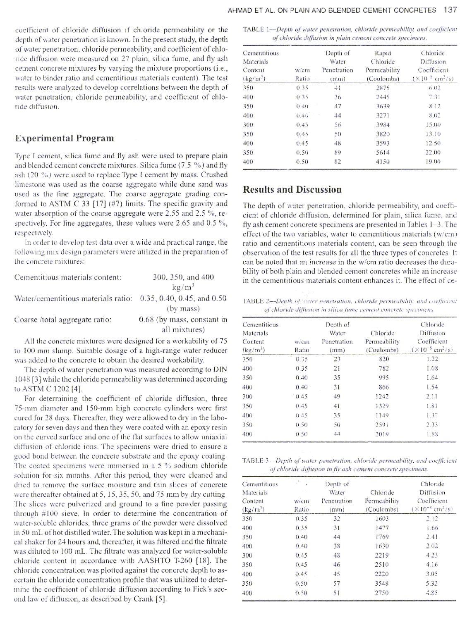coefficient of chloride diffusion if chloride permeability or the depth of water penetration is known. In the present study, the depth of water penetration, chloride permeability, and coefficient of chloride diffusion were measured on 27 plain, silica fume, and fly ash cement concrete mixtures by varying the mixture proportions (i.e., water to binder ratio and cementitious materials content). The test results were analyzed to develop correlations between the depth of water penetration, chloride permeability, and coefficient of chloride diffusion.

## **Experimental Program**

Type I cement, silica fume and fly ash were used to prepare plain and blended cement concrete mixtures. Silica fume (7.5 %) and fly ash (20 %) were used to replace Type I cement by mass. Crushed limestone was used as the coarse aggregate while dune sand was used as the fine aggregate. The coarse aggregate grading conformed to ASTM C 33 [17] (#7) limits. The specific gravity and water absorption of the coarse aggregate were 2.55 and 2.5 %, respectively. For fine aggregates, these values were 2.65 and 0.5 %, respectively.

In order to develop test data over a wide and practical range, the following mix design parameters were utilized in the preparation of the concrete mixtures:

| Cementitious materials content:                                | 300, 350, and 400          |
|----------------------------------------------------------------|----------------------------|
|                                                                | $kg/m^3$                   |
| Water/cementitious materials ratio: 0.35, 0.40, 0.45, and 0.50 |                            |
|                                                                | (by mass)                  |
| Coarse/total aggregate ratio:                                  | 0.68 (by mass, constant in |
|                                                                | all mixtures)              |

All the concrete mixtures were designed for a workability of 75 to 100 mm slump. Suitable dosage of a high-range water reducer was added to the concrete to obtain the desired workability.

The depth of water penetration was measured according to DIN 1048 [3] while the chloride permeability was determined according to ASTM C 1202 [4].

For determining the coefficient of chloride diffusion, three 75-mm diameter and 150-mm high concrete cylinders were first cured for 28 days. Thereafter, they were allowed to dry in the laboratory for seven days and then they were coated with an epoxy resin on the curved surface and one of the flat surfaces to allow uniaxial diffusion of chloride ions. The specimens were dried to ensure a good bond between the concrete substrate and the epoxy coating. The coated specimens were immersed in a 5 % sodium chloride solution for six months. After this period, they were cleaned and dried to remove the surface moisture and thin slices of concrete were thereafter obtained at 5, 15, 35, 50, and 75 mm by dry cutting. The slices were pulverized and ground to a fine powder passing through #100 sieve. In order to determine the concentration of water-soluble chlorides, three grams of the powder were dissolved in 50 mL of hot distilled water. The solution was kept in a mechanical shaker for 24 hours and, thereafter, it was filtered and the filtrate was diluted to 100 mL. The filtrate was analyzed for water-soluble chloride content in accordance with AASHTO T-260 [18]. The chloride concentration was plotted against the concrete depth to ascertain the chloride concentration profile that was utilized to determine the coefficient of chloride diffusion according to Fick's second law of diffusion, as described by Crank [5].

TABLE 1-Depth of water penetration, chloride permeability, and coefficient of chloride diffusion in plain cement concrete specimens.

| Cementitious<br>Materials |       | Depth of<br>Water | Rapid<br>Chloride | Chloride<br>Diffusion                 |
|---------------------------|-------|-------------------|-------------------|---------------------------------------|
| Content                   | w/cm  | Penetration       | Permeability      | Coefficient                           |
| $(kg/m^3)$                | Ratio | (mm)              | (Coulombs)        | $(\times 10^{-8}$ cm <sup>2</sup> /s) |
| 350                       | 0.35  | 41                | 2875              | 6.02                                  |
| 400                       | 0.35  | 36                | 2445              | 7.31                                  |
| 350                       | 0.40  | 47                | 3639              | 8.12                                  |
| 400                       | 0.40  | 44                | 3271              | 8.02                                  |
| 300                       | 0.45  | 56                | 3984              | 15.00                                 |
| 350                       | 0.45  | 50                | 3820              | 13.10                                 |
| 400                       | 0.45  | 48                | 3593              | 12.50                                 |
| 350                       | 0.50  | 89                | 5614              | 22.00                                 |
| 400                       | 0.50  | 82                | 4150              | 19.00                                 |

# **Results and Discussion**

The depth of water penetration, chloride permeability, and coefficient of chloride diffusion, determined for plain, silica fume, and fly ash cement concrete specimens are presented in Tables 1-3. The effect of the two variables, water to cementitious materials (w/cm) ratio and cementitious materials content, can be seen through the observation of the test results for all the three types of concretes. It can be noted that an increase in the w/cm ratio decreases the durability of both plain and blended cement concretes while an increase in the cementitious materials content enhances it. The effect of ce-

TABLE 2-Depth of water penetration, chloride permeability, and coefficient of chloride diffusion in silica fume cement concrete specimens.

| Cementitious         |       | Depth of    |              | Chloride                              |
|----------------------|-------|-------------|--------------|---------------------------------------|
| Materials            |       | Water       | Chloride     | Diffusion                             |
| Content              | w/cm  | Penetration | Permeability | Coefficient                           |
| (kg/m <sup>3</sup> ) | Ratio | (mm)        | (Coulombs)   | $(\times 10^{-8}$ cm <sup>2</sup> /s) |
| 350                  | 0.35  | 23          | 820          | 1.22                                  |
| 400                  | 0.35  | 21          | 782          | 1.08                                  |
| 350                  | 0.40  | 35          | 995          | 1.64                                  |
| 400                  | 0.40  | 31          | 866          | 1.54                                  |
| 300                  | 0.45  | 49          | 1242         | 2.11                                  |
| 350                  | 0.45  | 41          | 1329         | 1.81                                  |
| 400                  | 0.45  | 35          | 1149         | 1.37                                  |
| 350                  | 0.50  | 50          | 2591         | 2.33                                  |
| 400                  | 0.50  | 44          | 2019         | 1.88                                  |

TABLE 3-Depth of water penetration, chloride permeability, and coefficient of chloride diffusion in fly ash cement concrete specimens.

| Cementitious<br>Materials | 101000 | Depth of<br>Water | Chloride     | Chloride<br>Diffusion                 |
|---------------------------|--------|-------------------|--------------|---------------------------------------|
| Content                   | w/cm   | Penetration       | Permeability | Coefficient                           |
| (kg/m <sup>3</sup> )      | Ratio  | (mm)              | (Coulombs)   | $(\times 10^{-8}$ cm <sup>2</sup> /s) |
| 350                       | 0.35   | 32                | 1603         | 2.12                                  |
| 400                       | 0.35   | 31                | 1477         | 1.66                                  |
| 350                       | 0.40   | 44                | 1769         | 2.41                                  |
| 400                       | 0.40   | 38                | 1630         | 2.02                                  |
| 300                       | 0.45   | 48                | 2219         | 4.23                                  |
| 350                       | 0.45   | 46                | 2510         | 4.16                                  |
| 400                       | 0.45   | 45                | 2220         | 3.05                                  |
| 350                       | 0.50   | 57                | 3548         | 5.32                                  |
| 400                       | 0.50   | 51                | 2750         | 4.85                                  |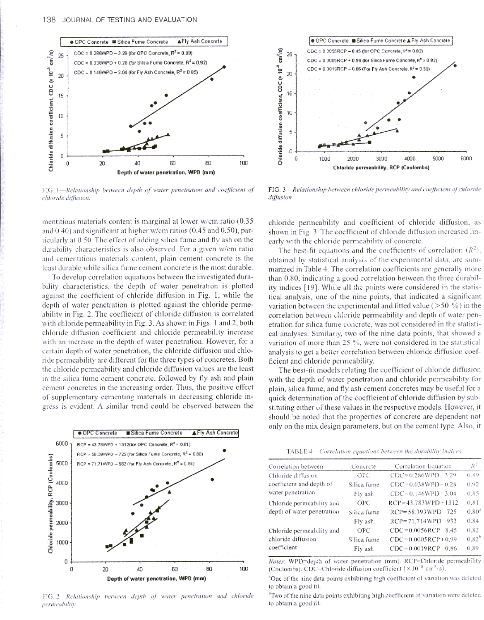

FIG. 1-Relationship between depth of water penetration and coefficient of chloride diffusion

mentitious materials content is marginal at lower  $w/cm$  ratio (0.35) and  $0.40$ ) and significant at higher w/cm ratios ( $0.45$  and  $0.50$ ), particularly at 0.50. The effect of adding silica fume and fly ash on the durability characteristics is also observed. For a given w/cm ratio and cementitious materials content, plain cement concrete is the least durable while silica fume cement concrete is the most durable.

To develop correlation equations between the investigated durability characteristics, the depth of water penetration is plotted against the coefficient of chloride diffusion in Fig. 1, while the depth of water penetration is plotted against the chloride permeability in Fig. 2. The coefficient of chloride diffusion is correlated with chloride permeability in Fig. 3. As shown in Figs. 1 and 2, both chloride diffusion coefficient and chloride permeability increase with an increase in the depth of water penetration. However, for a certain depth of water penetration, the chloride diffusion and chloride permeability are different for the three types of concretes. Both the chloride permeability and chloride diffusion values are the least in the silica fume cement concrete, followed by fly ash and plain cement concretes in the increasing order. Thus, the positive effect of supplementary cementing materials in decreasing chloride ingress is evident. A similar trend could be observed between the



FIG. 2-Relationship between depth of water penetration and chloride permeability.



FIG. 3-Relationship between chloride permeability and coefficient of chloride diffusion.

chloride permeability and coefficient of chloride diffusion, as shown in Fig. 3. The coefficient of chloride diffusion increased linearly with the chloride permeability of concrete.

The best-fit equations and the coefficients of correlation  $(R^2)$ , obtained by statistical analysis of the experimental data, are summarized in Table 4. The correlation coefficients are generally more than 0.80, indicating a good correlation between the three durability indices [19]. While all the points were considered in the statistical analysis, one of the nine points, that indicated a significant variation between the experimental and fitted value ( $> 50 \%$ ) in the correlation between chloride permeability and depth of water penetration for silica fume concrete, was not considered in the statistical analyses. Similarly, two of the nine data points, that showed a variation of more than 25 %, were not considered in the statistical analysis to get a better correlation between chloride diffusion coefficient and chloride permeability.

The best-fit models relating the coefficient of chloride diffusion with the depth of water penetration and chloride permeability for plain, silica fume, and fly ash cement concretes may be useful for a quick determination of the coefficient of chloride diffusion by substituting either of these values in the respective models. However, it should be noted that the properties of concrete are dependent not only on the mix design parameters, but on the cement type. Also, it

TABLE 4-Correlation equations between the durability indices.

| Correlation between        | Concrete    | Correlation Equation        | $R^2$      |
|----------------------------|-------------|-----------------------------|------------|
| Chloride diffusion         | orc         | $CDC = 0.286WPD - 3.29$     | 0.89       |
| coefficient and depth of   | Silica fume | $CDC = 0.038WPD + 0.28$     | 0.92       |
| water penetration          | Fly ash     | $CDC = 0.146WPD - 3.04$     | 0.85       |
| Chloride permeability and  | <b>OPC</b>  | $RCP = 43.783WPD + 1312$    | 0.81       |
| depth of water penetration | Silica fume | RCP=58.393WPD-725           | $0.80^{4}$ |
|                            | Fly ash     | RCP=71.714WPD-932           | 0.84       |
| Chloride permeability and  | OPC         | $CDC = 0.0056$ RCP $- 8.45$ | 0.82       |
| chloride diffusion         | Silica fume | $CDC = 0.0005RCP + 0.99$    | $0.82^{h}$ |
| coefficient                | Fly ash     | $CDC = 0.0019$ RCP $-0.86$  | 0.89       |
|                            |             |                             |            |

Notes: WPD=depth of water penetration (mm). RCP=Chloride permeability (Coulombs). CDC=Chloride diffusion coefficient  $(\times 10^{-8} \text{ cm}^2/\text{s})$ .

<sup>a</sup>One of the nine data points exhibiting high coefficient of variation was deleted to obtain a good fit.

<sup>b</sup>Two of the nine data points exhibiting high coefficient of variation were deleted to obtain a good fit.